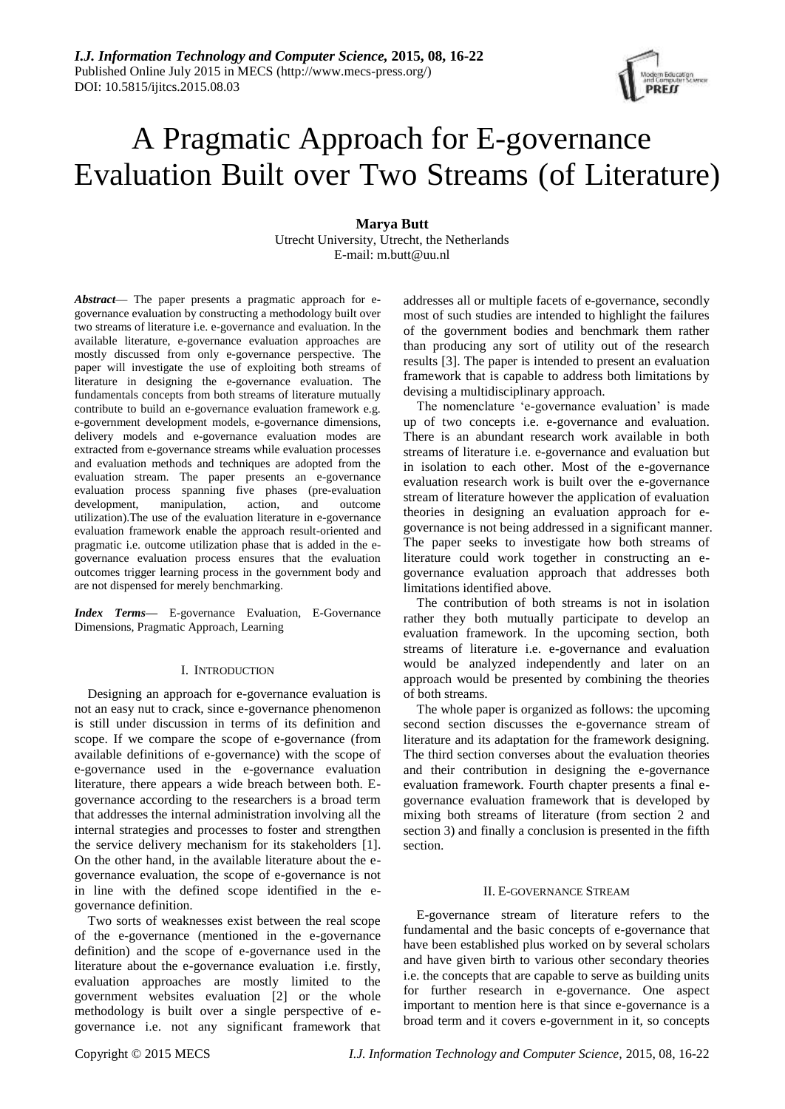# A Pragmatic Approach for E-governance Evaluation Built over Two Streams (of Literature)

## **Marya Butt**

Utrecht University, Utrecht, the Netherlands E-mail: m.butt@uu.nl

*Abstract*— The paper presents a pragmatic approach for egovernance evaluation by constructing a methodology built over two streams of literature i.e. e-governance and evaluation. In the available literature, e-governance evaluation approaches are mostly discussed from only e-governance perspective. The paper will investigate the use of exploiting both streams of literature in designing the e-governance evaluation. The fundamentals concepts from both streams of literature mutually contribute to build an e-governance evaluation framework e.g. e-government development models, e-governance dimensions, delivery models and e-governance evaluation modes are extracted from e-governance streams while evaluation processes and evaluation methods and techniques are adopted from the evaluation stream. The paper presents an e-governance evaluation process spanning five phases (pre-evaluation development, manipulation, action, and outcome utilization).The use of the evaluation literature in e-governance evaluation framework enable the approach result-oriented and pragmatic i.e. outcome utilization phase that is added in the egovernance evaluation process ensures that the evaluation outcomes trigger learning process in the government body and are not dispensed for merely benchmarking.

*Index Terms***—** E-governance Evaluation, E-Governance Dimensions, Pragmatic Approach, Learning

#### I. INTRODUCTION

Designing an approach for e-governance evaluation is not an easy nut to crack, since e-governance phenomenon is still under discussion in terms of its definition and scope. If we compare the scope of e-governance (from available definitions of e-governance) with the scope of e-governance used in the e-governance evaluation literature, there appears a wide breach between both. Egovernance according to the researchers is a broad term that addresses the internal administration involving all the internal strategies and processes to foster and strengthen the service delivery mechanism for its stakeholders [1]. On the other hand, in the available literature about the egovernance evaluation, the scope of e-governance is not in line with the defined scope identified in the egovernance definition.

Two sorts of weaknesses exist between the real scope of the e-governance (mentioned in the e-governance definition) and the scope of e-governance used in the literature about the e-governance evaluation i.e. firstly, evaluation approaches are mostly limited to the government websites evaluation [2] or the whole methodology is built over a single perspective of egovernance i.e. not any significant framework that addresses all or multiple facets of e-governance, secondly most of such studies are intended to highlight the failures of the government bodies and benchmark them rather than producing any sort of utility out of the research results [3]. The paper is intended to present an evaluation framework that is capable to address both limitations by devising a multidisciplinary approach.

The nomenclature 'e-governance evaluation' is made up of two concepts i.e. e-governance and evaluation. There is an abundant research work available in both streams of literature i.e. e-governance and evaluation but in isolation to each other. Most of the e-governance evaluation research work is built over the e-governance stream of literature however the application of evaluation theories in designing an evaluation approach for egovernance is not being addressed in a significant manner. The paper seeks to investigate how both streams of literature could work together in constructing an egovernance evaluation approach that addresses both limitations identified above.

The contribution of both streams is not in isolation rather they both mutually participate to develop an evaluation framework. In the upcoming section, both streams of literature i.e. e-governance and evaluation would be analyzed independently and later on an approach would be presented by combining the theories of both streams.

The whole paper is organized as follows: the upcoming second section discusses the e-governance stream of literature and its adaptation for the framework designing. The third section converses about the evaluation theories and their contribution in designing the e-governance evaluation framework. Fourth chapter presents a final egovernance evaluation framework that is developed by mixing both streams of literature (from section 2 and section 3) and finally a conclusion is presented in the fifth section.

#### II. E-GOVERNANCE STREAM

E-governance stream of literature refers to the fundamental and the basic concepts of e-governance that have been established plus worked on by several scholars and have given birth to various other secondary theories i.e. the concepts that are capable to serve as building units for further research in e-governance. One aspect important to mention here is that since e-governance is a broad term and it covers e-government in it, so concepts

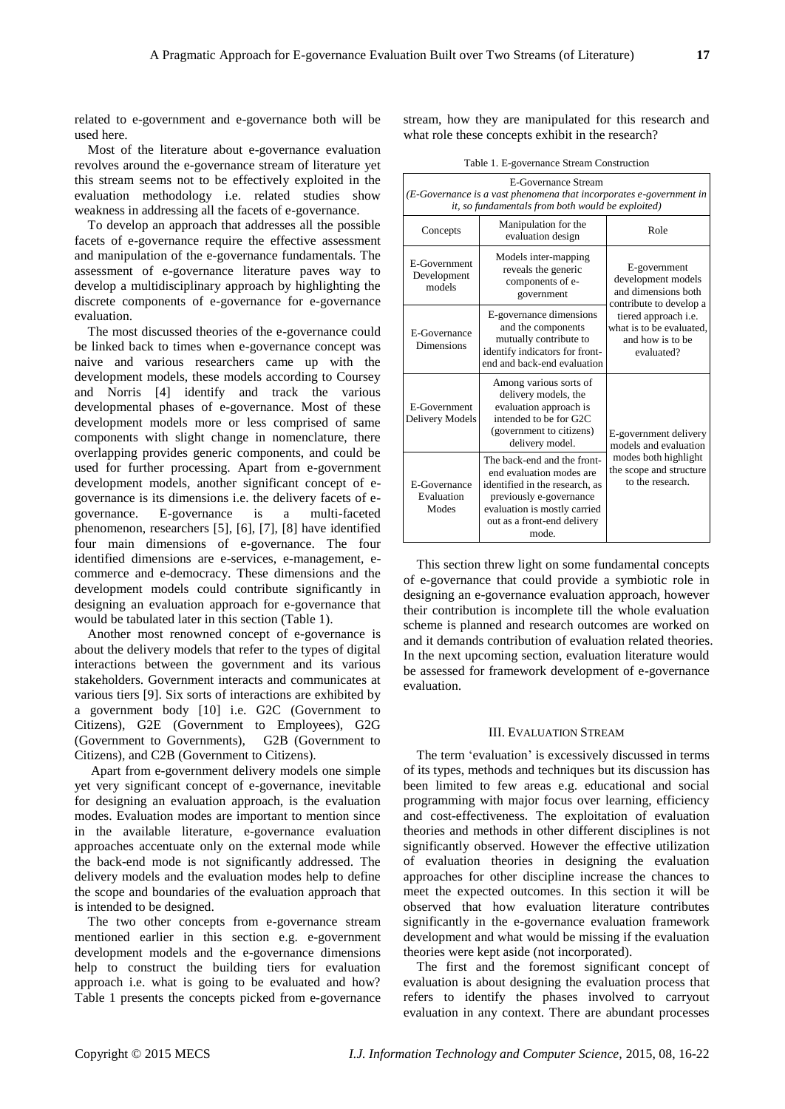related to e-government and e-governance both will be used here.

Most of the literature about e-governance evaluation revolves around the e-governance stream of literature yet this stream seems not to be effectively exploited in the evaluation methodology i.e. related studies show weakness in addressing all the facets of e-governance.

To develop an approach that addresses all the possible facets of e-governance require the effective assessment and manipulation of the e-governance fundamentals. The assessment of e-governance literature paves way to develop a multidisciplinary approach by highlighting the discrete components of e-governance for e-governance evaluation.

The most discussed theories of the e-governance could be linked back to times when e-governance concept was naive and various researchers came up with the development models, these models according to Coursey and Norris [4] identify and track the various developmental phases of e-governance. Most of these development models more or less comprised of same components with slight change in nomenclature, there overlapping provides generic components, and could be used for further processing. Apart from e-government development models, another significant concept of egovernance is its dimensions i.e. the delivery facets of egovernance. E-governance is a multi-faceted phenomenon, researchers [5], [6], [7], [8] have identified four main dimensions of e-governance. The four identified dimensions are e-services, e-management, ecommerce and e-democracy. These dimensions and the development models could contribute significantly in designing an evaluation approach for e-governance that would be tabulated later in this section (Table 1).

Another most renowned concept of e-governance is about the delivery models that refer to the types of digital interactions between the government and its various stakeholders. Government interacts and communicates at various tiers [9]. Six sorts of interactions are exhibited by a government body [10] i.e. G2C (Government to Citizens), G2E (Government to Employees), G2G (Government to Governments), G2B (Government to Citizens), and C2B (Government to Citizens).

Apart from e-government delivery models one simple yet very significant concept of e-governance, inevitable for designing an evaluation approach, is the evaluation modes. Evaluation modes are important to mention since in the available literature, e-governance evaluation approaches accentuate only on the external mode while the back-end mode is not significantly addressed. The delivery models and the evaluation modes help to define the scope and boundaries of the evaluation approach that is intended to be designed.

The two other concepts from e-governance stream mentioned earlier in this section e.g. e-government development models and the e-governance dimensions help to construct the building tiers for evaluation approach i.e. what is going to be evaluated and how? Table 1 presents the concepts picked from e-governance

stream, how they are manipulated for this research and what role these concepts exhibit in the research?

Table 1. E-governance Stream Construction

| E-Governance Stream<br>(E-Governance is a vast phenomena that incorporates e-government in<br>it, so fundamentals from both would be exploited) |                                                                                                                                                                                              |                                                                                                                                                                                   |  |
|-------------------------------------------------------------------------------------------------------------------------------------------------|----------------------------------------------------------------------------------------------------------------------------------------------------------------------------------------------|-----------------------------------------------------------------------------------------------------------------------------------------------------------------------------------|--|
| Concepts                                                                                                                                        | Manipulation for the<br>evaluation design                                                                                                                                                    | Role                                                                                                                                                                              |  |
| E-Government<br>Development<br>models                                                                                                           | Models inter-mapping<br>reveals the generic<br>components of e-<br>government                                                                                                                | E-government<br>development models<br>and dimensions both<br>contribute to develop a<br>tiered approach <i>i.e.</i><br>what is to be evaluated.<br>and how is to be<br>evaluated? |  |
| E-Governance<br><b>Dimensions</b>                                                                                                               | E-governance dimensions<br>and the components<br>mutually contribute to<br>identify indicators for front-<br>end and back-end evaluation                                                     |                                                                                                                                                                                   |  |
| E-Government<br>Delivery Models                                                                                                                 | Among various sorts of<br>delivery models, the<br>evaluation approach is<br>intended to be for G2C<br>(government to citizens)<br>delivery model.                                            | E-government delivery<br>models and evaluation<br>modes both highlight<br>the scope and structure<br>to the research.                                                             |  |
| <b>F-Governance</b><br>Evaluation<br>Modes                                                                                                      | The back-end and the front-<br>end evaluation modes are<br>identified in the research, as<br>previously e-governance<br>evaluation is mostly carried<br>out as a front-end delivery<br>mode. |                                                                                                                                                                                   |  |

This section threw light on some fundamental concepts of e-governance that could provide a symbiotic role in designing an e-governance evaluation approach, however their contribution is incomplete till the whole evaluation scheme is planned and research outcomes are worked on and it demands contribution of evaluation related theories. In the next upcoming section, evaluation literature would be assessed for framework development of e-governance evaluation.

#### III. EVALUATION STREAM

The term 'evaluation' is excessively discussed in terms of its types, methods and techniques but its discussion has been limited to few areas e.g. educational and social programming with major focus over learning, efficiency and cost-effectiveness. The exploitation of evaluation theories and methods in other different disciplines is not significantly observed. However the effective utilization of evaluation theories in designing the evaluation approaches for other discipline increase the chances to meet the expected outcomes. In this section it will be observed that how evaluation literature contributes significantly in the e-governance evaluation framework development and what would be missing if the evaluation theories were kept aside (not incorporated).

The first and the foremost significant concept of evaluation is about designing the evaluation process that refers to identify the phases involved to carryout evaluation in any context. There are abundant processes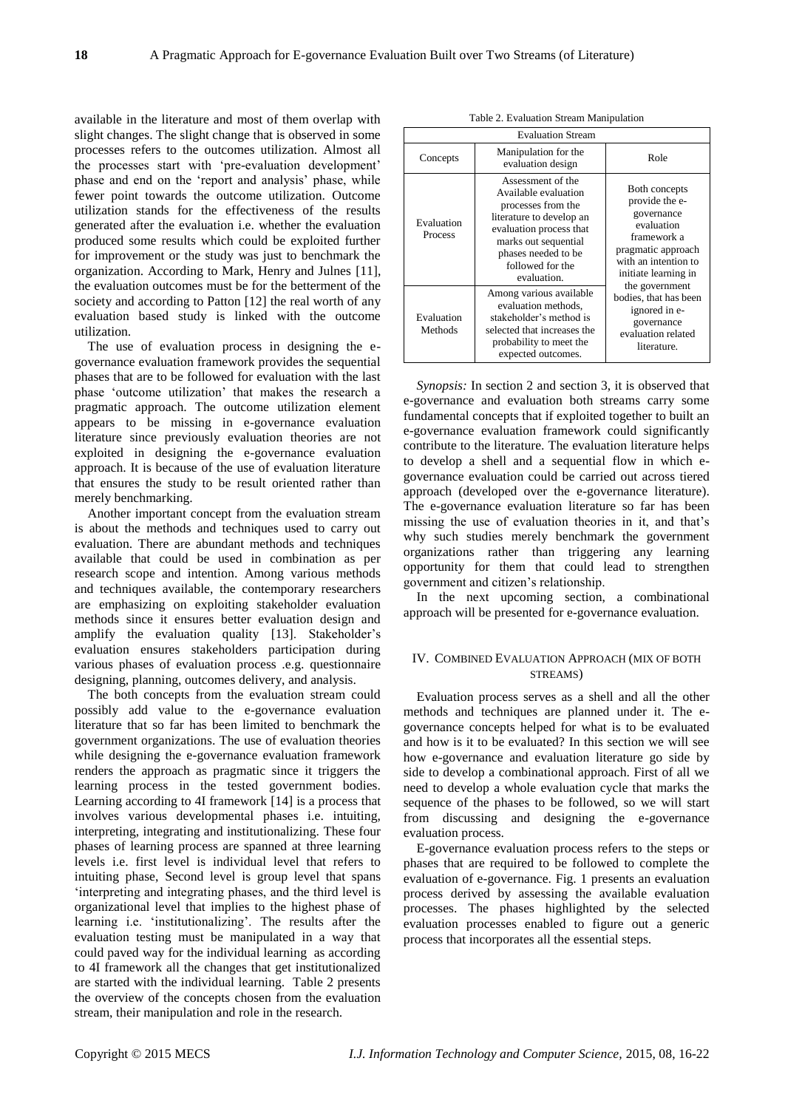available in the literature and most of them overlap with slight changes. The slight change that is observed in some processes refers to the outcomes utilization. Almost all the processes start with 'pre-evaluation development' phase and end on the 'report and analysis' phase, while fewer point towards the outcome utilization. Outcome utilization stands for the effectiveness of the results generated after the evaluation i.e. whether the evaluation produced some results which could be exploited further for improvement or the study was just to benchmark the organization. According to Mark, Henry and Julnes [11], the evaluation outcomes must be for the betterment of the society and according to Patton [12] the real worth of any evaluation based study is linked with the outcome utilization.

The use of evaluation process in designing the egovernance evaluation framework provides the sequential phases that are to be followed for evaluation with the last phase 'outcome utilization' that makes the research a pragmatic approach. The outcome utilization element appears to be missing in e-governance evaluation literature since previously evaluation theories are not exploited in designing the e-governance evaluation approach. It is because of the use of evaluation literature that ensures the study to be result oriented rather than merely benchmarking.

Another important concept from the evaluation stream is about the methods and techniques used to carry out evaluation. There are abundant methods and techniques available that could be used in combination as per research scope and intention. Among various methods and techniques available, the contemporary researchers are emphasizing on exploiting stakeholder evaluation methods since it ensures better evaluation design and amplify the evaluation quality [13]. Stakeholder's evaluation ensures stakeholders participation during various phases of evaluation process .e.g. questionnaire designing, planning, outcomes delivery, and analysis.

The both concepts from the evaluation stream could possibly add value to the e-governance evaluation literature that so far has been limited to benchmark the government organizations. The use of evaluation theories while designing the e-governance evaluation framework renders the approach as pragmatic since it triggers the learning process in the tested government bodies. Learning according to 4I framework [14] is a process that involves various developmental phases i.e. intuiting, interpreting, integrating and institutionalizing. These four phases of learning process are spanned at three learning levels i.e. first level is individual level that refers to intuiting phase, Second level is group level that spans 'interpreting and integrating phases, and the third level is organizational level that implies to the highest phase of learning i.e. 'institutionalizing'. The results after the evaluation testing must be manipulated in a way that could paved way for the individual learning as according to 4I framework all the changes that get institutionalized are started with the individual learning. Table 2 presents the overview of the concepts chosen from the evaluation stream, their manipulation and role in the research.

| <b>Evaluation Stream</b> |                                                                                                                                                                                                          |                                                                                                                                                                                                                                                                 |
|--------------------------|----------------------------------------------------------------------------------------------------------------------------------------------------------------------------------------------------------|-----------------------------------------------------------------------------------------------------------------------------------------------------------------------------------------------------------------------------------------------------------------|
| Concepts                 | Manipulation for the<br>evaluation design                                                                                                                                                                | Role                                                                                                                                                                                                                                                            |
| Evaluation<br>Process    | Assessment of the<br>Available evaluation<br>processes from the<br>literature to develop an<br>evaluation process that<br>marks out sequential<br>phases needed to be<br>followed for the<br>evaluation. | Both concepts<br>provide the e-<br>governance<br>evaluation<br>framework a<br>pragmatic approach<br>with an intention to<br>initiate learning in<br>the government<br>bodies, that has been<br>ignored in e-<br>governance<br>evaluation related<br>literature. |
| Evaluation<br>Methods    | Among various available<br>evaluation methods,<br>stakeholder's method is<br>selected that increases the<br>probability to meet the<br>expected outcomes.                                                |                                                                                                                                                                                                                                                                 |

*Synopsis:* In section 2 and section 3, it is observed that e-governance and evaluation both streams carry some fundamental concepts that if exploited together to built an e-governance evaluation framework could significantly contribute to the literature. The evaluation literature helps to develop a shell and a sequential flow in which egovernance evaluation could be carried out across tiered approach (developed over the e-governance literature). The e-governance evaluation literature so far has been missing the use of evaluation theories in it, and that's why such studies merely benchmark the government organizations rather than triggering any learning opportunity for them that could lead to strengthen government and citizen's relationship.

In the next upcoming section, a combinational approach will be presented for e-governance evaluation.

# IV. COMBINED EVALUATION APPROACH (MIX OF BOTH STREAMS)

Evaluation process serves as a shell and all the other methods and techniques are planned under it. The egovernance concepts helped for what is to be evaluated and how is it to be evaluated? In this section we will see how e-governance and evaluation literature go side by side to develop a combinational approach. First of all we need to develop a whole evaluation cycle that marks the sequence of the phases to be followed, so we will start from discussing and designing the e-governance evaluation process.

E-governance evaluation process refers to the steps or phases that are required to be followed to complete the evaluation of e-governance. Fig. 1 presents an evaluation process derived by assessing the available evaluation processes. The phases highlighted by the selected evaluation processes enabled to figure out a generic process that incorporates all the essential steps.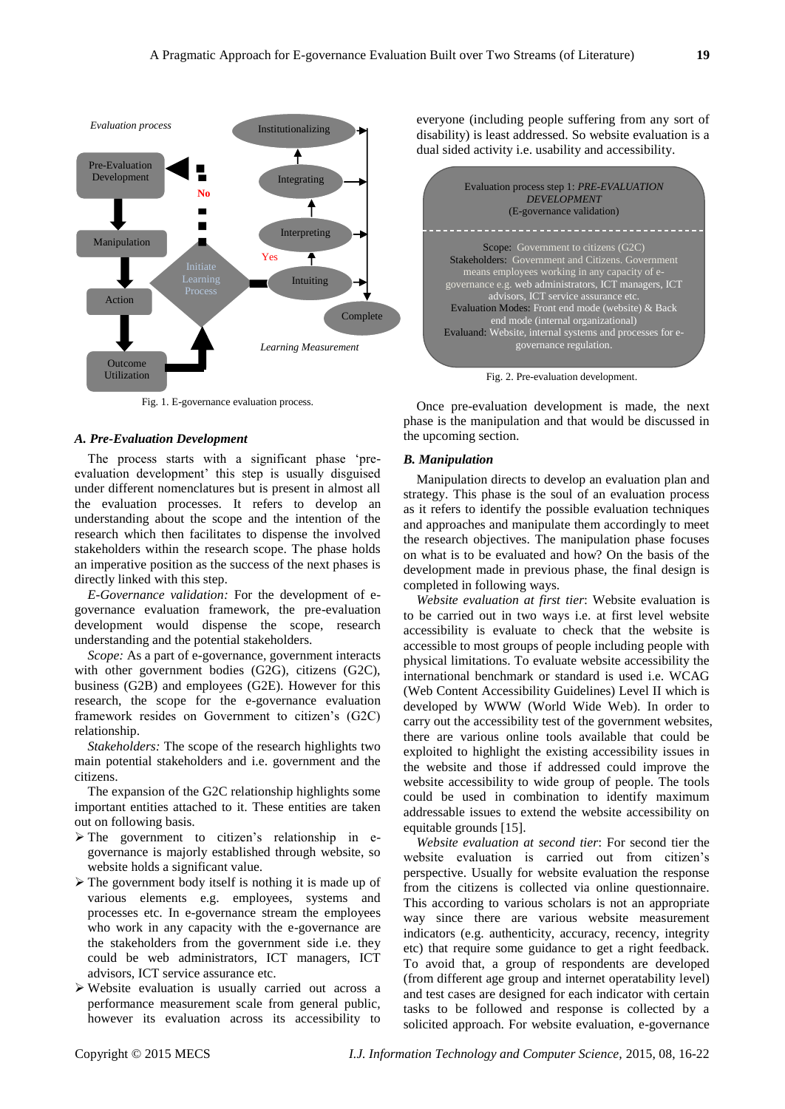

Fig. 1. E-governance evaluation process.

## A. Pre-Evaluation Development

The process starts with a significant phase 'preevaluation development' this step is usually disguised under different nomenclatures but is present in almost all the evaluation processes. It refers to develop an understanding about the scope and the intention of the research which then facilitates to dispense the involved stakeholders within the research scope. The phase holds an imperative position as the success of the next phases is directly linked with this step.

*E-Governance validation:* For the development of egovernance evaluation framework, the pre-evaluation development would dispense the scope, research understanding and the potential stakeholders.

*Scope:* As a part of e-governance, government interacts with other government bodies (G2G), citizens (G2C), business (G2B) and employees (G2E). However for this research, the scope for the e-governance evaluation framework resides on Government to citizen's (G2C) relationship.

*Stakeholders:* The scope of the research highlights two main potential stakeholders and i.e. government and the citizens.

The expansion of the G2C relationship highlights some important entities attached to it. These entities are taken out on following basis.

- $\triangleright$  The government to citizen's relationship in egovernance is majorly established through website, so website holds a significant value.
- $\triangleright$  The government body itself is nothing it is made up of various elements e.g. employees, systems and processes etc. In e-governance stream the employees who work in any capacity with the e-governance are the stakeholders from the government side i.e. they could be web administrators, ICT managers, ICT advisors, ICT service assurance etc.
- Website evaluation is usually carried out across a performance measurement scale from general public, however its evaluation across its accessibility to

everyone (including people suffering from any sort of disability) is least addressed. So website evaluation is a dual sided activity i.e. usability and accessibility.



Fig. 2. Pre-evaluation development.

Once pre-evaluation development is made, the next phase is the manipulation and that would be discussed in the upcoming section.

#### *B. Manipulation*

Manipulation directs to develop an evaluation plan and strategy. This phase is the soul of an evaluation process as it refers to identify the possible evaluation techniques and approaches and manipulate them accordingly to meet the research objectives. The manipulation phase focuses on what is to be evaluated and how? On the basis of the development made in previous phase, the final design is completed in following ways.

*Website evaluation at first tier*: Website evaluation is to be carried out in two ways i.e. at first level website accessibility is evaluate to check that the website is accessible to most groups of people including people with physical limitations. To evaluate website accessibility the international benchmark or standard is used i.e. WCAG (Web Content Accessibility Guidelines) Level II which is developed by WWW (World Wide Web). In order to carry out the accessibility test of the government websites, there are various online tools available that could be exploited to highlight the existing accessibility issues in the website and those if addressed could improve the website accessibility to wide group of people. The tools could be used in combination to identify maximum addressable issues to extend the website accessibility on equitable grounds [15].

*Website evaluation at second tier*: For second tier the website evaluation is carried out from citizen's perspective. Usually for website evaluation the response from the citizens is collected via online questionnaire. This according to various scholars is not an appropriate way since there are various website measurement indicators (e.g. authenticity, accuracy, recency, integrity etc) that require some guidance to get a right feedback. To avoid that, a group of respondents are developed (from different age group and internet operatability level) and test cases are designed for each indicator with certain tasks to be followed and response is collected by a solicited approach. For website evaluation, e-governance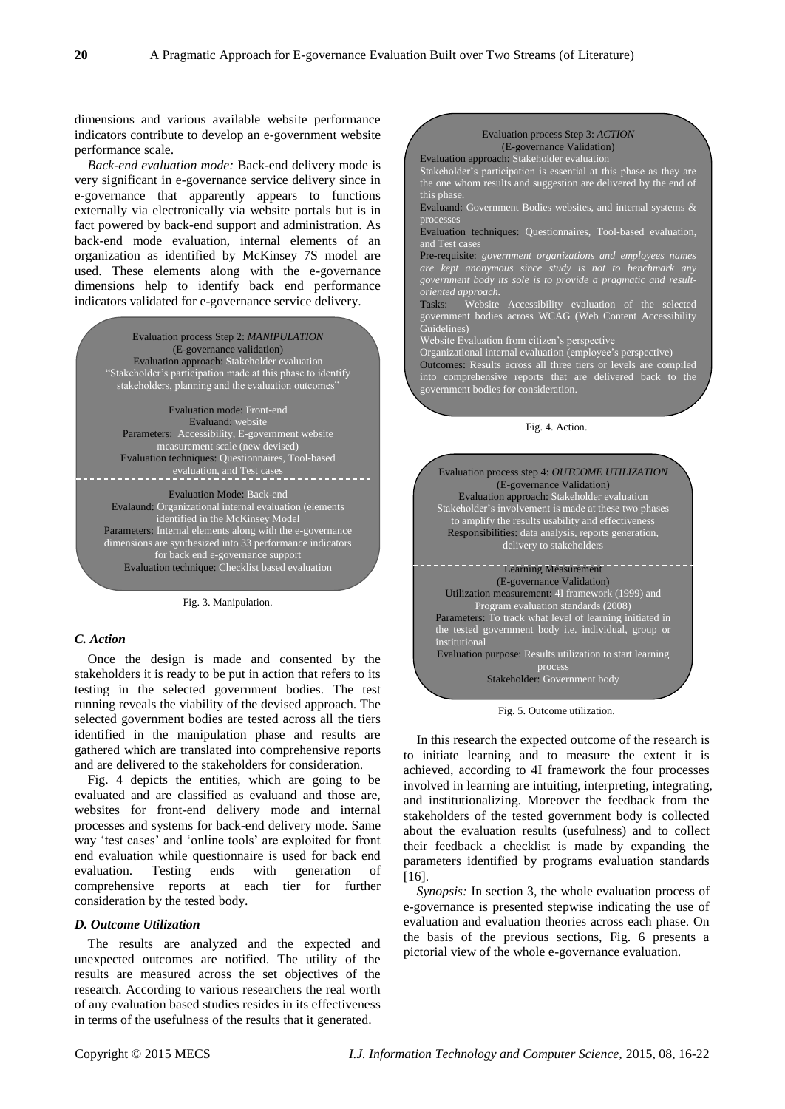dimensions and various available website performance indicators contribute to develop an e-government website performance scale.

*Back-end evaluation mode:* Back-end delivery mode is very significant in e-governance service delivery since in e-governance that apparently appears to functions externally via electronically via website portals but is in fact powered by back-end support and administration. As back-end mode evaluation, internal elements of an organization as identified by McKinsey 7S model are used. These elements along with the e-governance dimensions help to identify back end performance indicators validated for e-governance service delivery.

> Evaluation process Step 2: *MANIPULATION* (E-governance validation) Evaluation approach: Stakeholder evaluation Stakeholder's participation made at this phase to identify stakeholders, planning and the evaluation outcomes

Evaluation mode: Front-end Evaluand: website Parameters: Accessibility, E-government website measurement scale (new devised) Evaluation techniques: Questionnaires, Tool-based evaluation, and Test cases

Evaluation Mode: Back-end Evalaund: Organizational internal evaluation (elements identified in the McKinsey Model Parameters: Internal elements along with the e-governance dimensions are synthesized into 33 performance indicators for back end e-governance support Evaluation technique: Checklist based evaluation

Fig. 3. Manipulation.

### *C. Action*

Once the design is made and consented by the stakeholders it is ready to be put in action that refers to its testing in the selected government bodies. The test running reveals the viability of the devised approach. The selected government bodies are tested across all the tiers identified in the manipulation phase and results are gathered which are translated into comprehensive reports and are delivered to the stakeholders for consideration.

Fig. 4 depicts the entities, which are going to be evaluated and are classified as evaluand and those are, websites for front-end delivery mode and internal processes and systems for back-end delivery mode. Same way 'test cases' and 'online tools' are exploited for front end evaluation while questionnaire is used for back end evaluation. Testing ends with generation of comprehensive reports at each tier for further consideration by the tested body.

#### *D. Outcome Utilization*

The results are analyzed and the expected and unexpected outcomes are notified. The utility of the results are measured across the set objectives of the research. According to various researchers the real worth of any evaluation based studies resides in its effectiveness in terms of the usefulness of the results that it generated.



Evaluation process Step 3: *ACTION* (E-governance Validation)

Stakeholder's participation is essential at this phase as they are the one whom results and suggestion are delivered by the end of

Evaluation approach: Stakeholder evaluation

Utilization measurement: 4I framework (1999) and Program evaluation standards (2008) Parameters: To track what level of learning initiated in the tested government body i.e. individual, group or institutional Evaluation purpose: Results utilization to start learning process

Stakeholder: Government body

Fig. 5. Outcome utilization.

In this research the expected outcome of the research is to initiate learning and to measure the extent it is achieved, according to 4I framework the four processes involved in learning are intuiting, interpreting, integrating, and institutionalizing. Moreover the feedback from the stakeholders of the tested government body is collected about the evaluation results (usefulness) and to collect their feedback a checklist is made by expanding the parameters identified by programs evaluation standards [16].

*Synopsis:* In section 3, the whole evaluation process of e-governance is presented stepwise indicating the use of evaluation and evaluation theories across each phase. On the basis of the previous sections, Fig. 6 presents a pictorial view of the whole e-governance evaluation.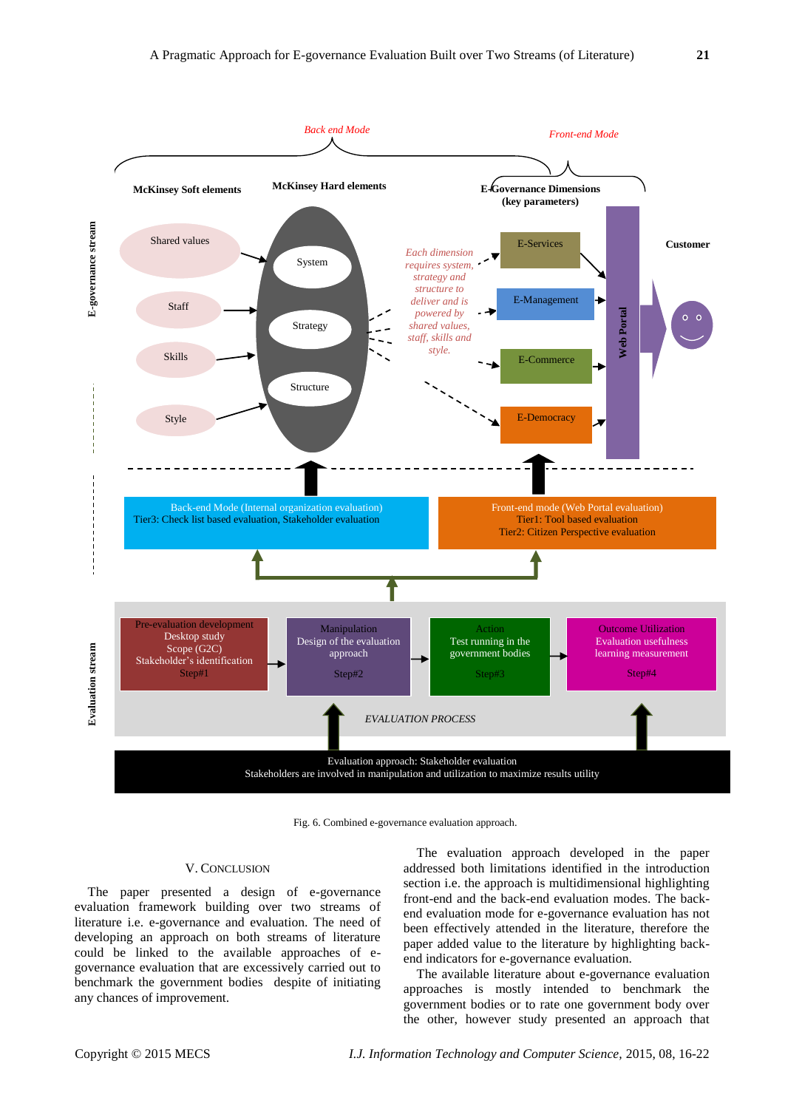

Fig. 6. Combined e-governance evaluation approach.

#### V. CONCLUSION

The paper presented a design of e-governance evaluation framework building over two streams of literature i.e. e-governance and evaluation. The need of developing an approach on both streams of literature could be linked to the available approaches of egovernance evaluation that are excessively carried out to benchmark the government bodies despite of initiating any chances of improvement.

The evaluation approach developed in the paper addressed both limitations identified in the introduction section i.e. the approach is multidimensional highlighting front-end and the back-end evaluation modes. The backend evaluation mode for e-governance evaluation has not been effectively attended in the literature, therefore the paper added value to the literature by highlighting backend indicators for e-governance evaluation.

The available literature about e-governance evaluation approaches is mostly intended to benchmark the government bodies or to rate one government body over the other, however study presented an approach that